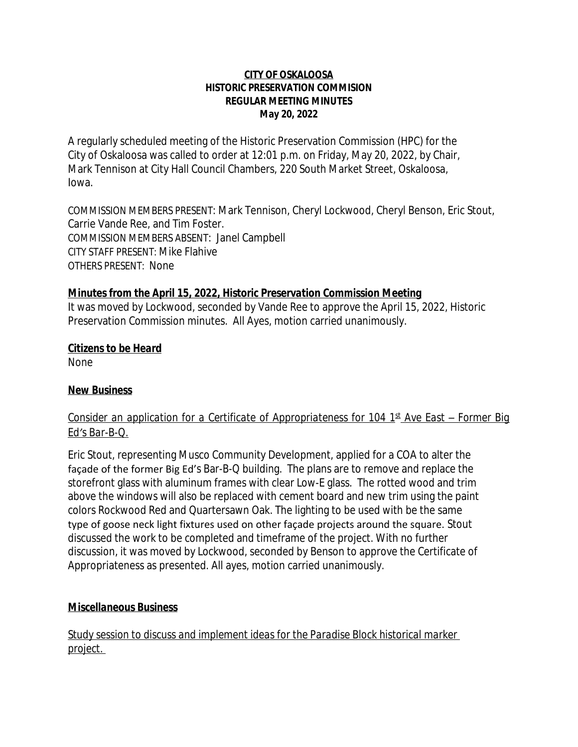#### **CITY OF OSKALOOSA HISTORIC PRESERVATION COMMISION REGULAR MEETING MINUTES May 20, 2022**

A regularly scheduled meeting of the Historic Preservation Commission (HPC) for the City of Oskaloosa was called to order at 12:01 p.m. on Friday, May 20, 2022, by Chair, Mark Tennison at City Hall Council Chambers, 220 South Market Street, Oskaloosa, Iowa.

COMMISSION MEMBERS PRESENT: Mark Tennison, Cheryl Lockwood, Cheryl Benson, Eric Stout, Carrie Vande Ree, and Tim Foster. COMMISSION MEMBERS ABSENT: Janel Campbell CITY STAFF PRESENT: Mike Flahive OTHERS PRESENT: None

### *Minutes from the April 15, 2022, Historic Preservation Commission Meeting*

It was moved by Lockwood, seconded by Vande Ree to approve the April 15, 2022, Historic Preservation Commission minutes. All Ayes, motion carried unanimously.

### *Citizens to be Heard*

None

# *New Business*

# *Consider an application for a Certificate of Appropriateness for 104 1 st Ave East – Former Big Ed's Bar-B-Q.*

Eric Stout, representing Musco Community Development, applied for a COA to alter the façade of the former Big Ed's Bar-B-Q building. The plans are to remove and replace the storefront glass with aluminum frames with clear Low-E glass. The rotted wood and trim above the windows will also be replaced with cement board and new trim using the paint colors Rockwood Red and Quartersawn Oak. The lighting to be used with be the same type of goose neck light fixtures used on other façade projects around the square. Stout discussed the work to be completed and timeframe of the project. With no further discussion, it was moved by Lockwood, seconded by Benson to approve the Certificate of Appropriateness as presented. All ayes, motion carried unanimously.

### *Miscellaneous Business*

*Study session to discuss and implement ideas for the Paradise Block historical marker project.*